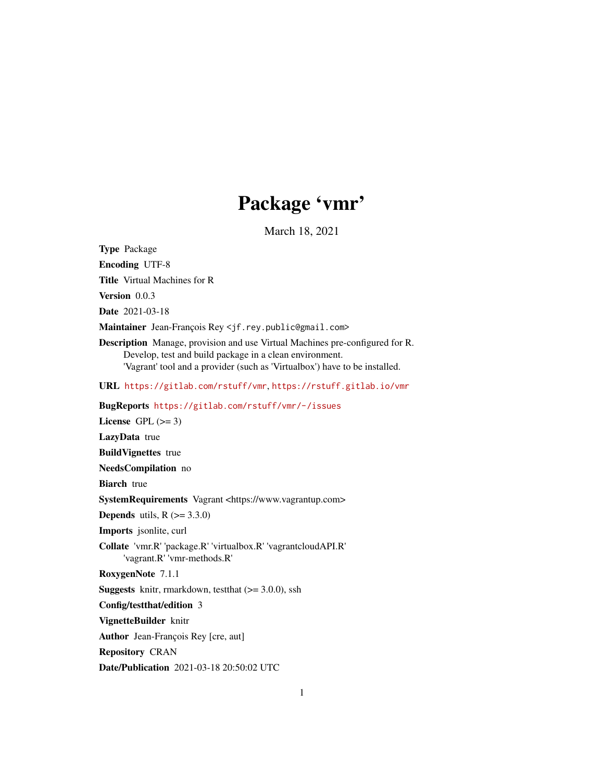# Package 'vmr'

March 18, 2021

<span id="page-0-0"></span>Type Package Encoding UTF-8 Title Virtual Machines for R Version 0.0.3 Date 2021-03-18 Maintainer Jean-François Rey <jf.rey.public@gmail.com> Description Manage, provision and use Virtual Machines pre-configured for R. Develop, test and build package in a clean environment. 'Vagrant' tool and a provider (such as 'Virtualbox') have to be installed. URL <https://gitlab.com/rstuff/vmr>, <https://rstuff.gitlab.io/vmr> BugReports <https://gitlab.com/rstuff/vmr/-/issues> License GPL  $(>= 3)$ LazyData true BuildVignettes true NeedsCompilation no **Biarch** true SystemRequirements Vagrant <https://www.vagrantup.com> **Depends** utils,  $R$  ( $> = 3.3.0$ ) Imports jsonlite, curl Collate 'vmr.R' 'package.R' 'virtualbox.R' 'vagrantcloudAPI.R' 'vagrant.R' 'vmr-methods.R' RoxygenNote 7.1.1 **Suggests** knitr, rmarkdown, test that  $(>= 3.0.0)$ , ssh Config/testthat/edition 3 VignetteBuilder knitr Author Jean-François Rey [cre, aut] Repository CRAN

Date/Publication 2021-03-18 20:50:02 UTC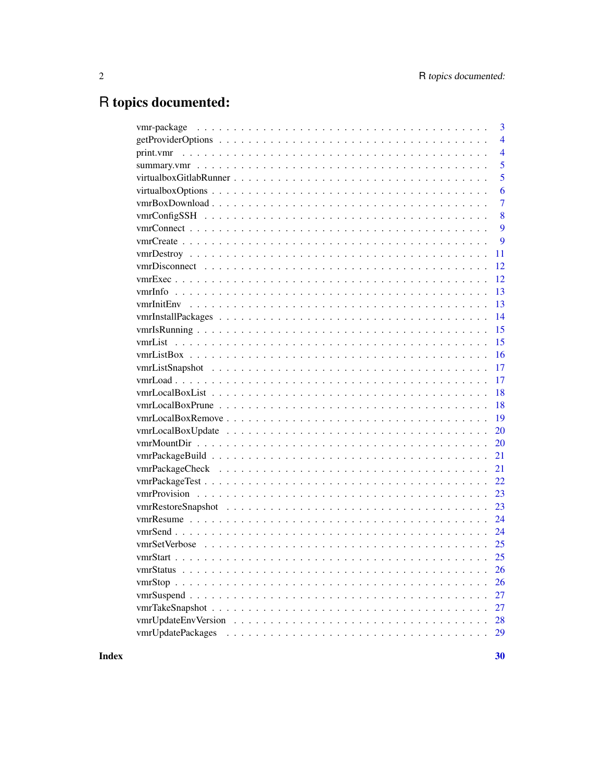# R topics documented:

| 3                       |
|-------------------------|
| $\overline{4}$          |
| $\overline{4}$          |
| 5                       |
| 5                       |
| 6                       |
| $\overline{7}$          |
| 8                       |
| 9                       |
| 9                       |
| 11                      |
| 12                      |
| 12                      |
| 13                      |
| 13                      |
| 14                      |
| 15                      |
| 15                      |
| 16                      |
| 17                      |
| 17                      |
| 18                      |
| 18                      |
| 19                      |
| 20                      |
| 20                      |
| 21                      |
| 21                      |
| 22                      |
| 23                      |
| 23                      |
|                         |
|                         |
|                         |
|                         |
| <b>26</b>               |
| <b>26</b>               |
| 27                      |
| 27                      |
| 28                      |
| vmrUpdatePackages<br>29 |
|                         |

**Index**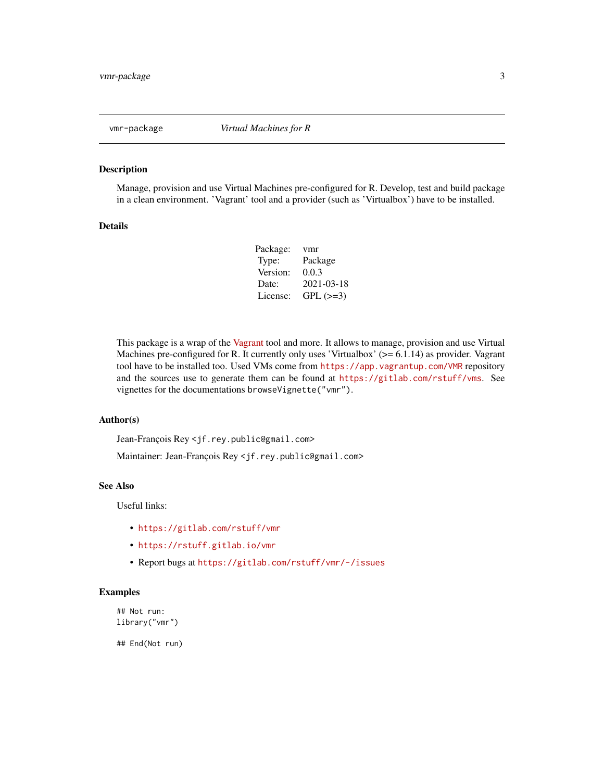<span id="page-2-0"></span>

#### Description

Manage, provision and use Virtual Machines pre-configured for R. Develop, test and build package in a clean environment. 'Vagrant' tool and a provider (such as 'Virtualbox') have to be installed.

#### Details

| Package: | vmr        |
|----------|------------|
| Type:    | Package    |
| Version: | 0.0.3      |
| Date:    | 2021-03-18 |
| License: | $GPL (=3)$ |

This package is a wrap of the [Vagrant](https://www.vagrantup.com/) tool and more. It allows to manage, provision and use Virtual Machines pre-configured for R. It currently only uses 'Virtualbox' ( $> = 6.1.14$ ) as provider. Vagrant tool have to be installed too. Used VMs come from <https://app.vagrantup.com/VMR> repository and the sources use to generate them can be found at <https://gitlab.com/rstuff/vms>. See vignettes for the documentations browseVignette("vmr").

#### Author(s)

Jean-François Rey <jf.rey.public@gmail.com>

Maintainer: Jean-François Rey <jf.rey.public@gmail.com>

#### See Also

Useful links:

- <https://gitlab.com/rstuff/vmr>
- <https://rstuff.gitlab.io/vmr>
- Report bugs at <https://gitlab.com/rstuff/vmr/-/issues>

#### Examples

## Not run: library("vmr")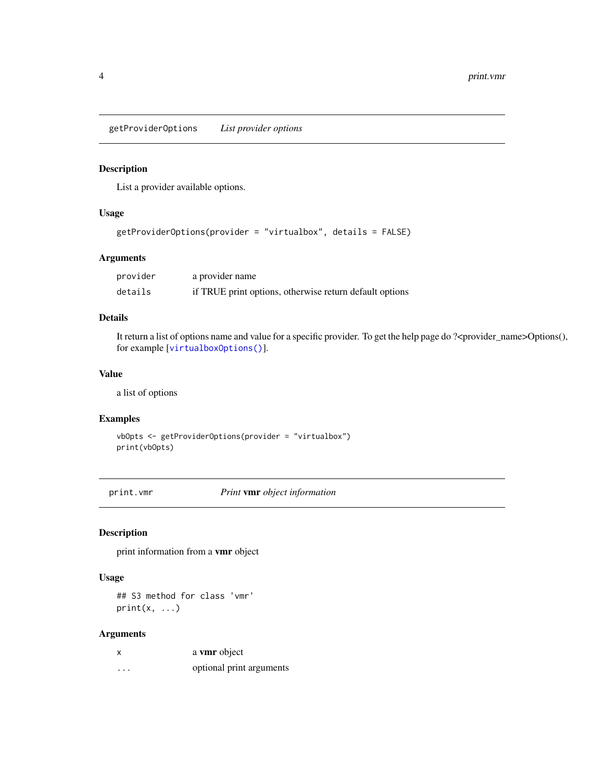<span id="page-3-1"></span><span id="page-3-0"></span>getProviderOptions *List provider options*

#### Description

List a provider available options.

#### Usage

```
getProviderOptions(provider = "virtualbox", details = FALSE)
```
#### Arguments

| provider | a provider name                                         |
|----------|---------------------------------------------------------|
| details  | if TRUE print options, otherwise return default options |

#### Details

It return a list of options name and value for a specific provider. To get the help page do ?<provider\_name>Options(), for example [[virtualboxOptions\(\)](#page-5-1)].

#### Value

a list of options

#### Examples

```
vbOpts <- getProviderOptions(provider = "virtualbox")
print(vbOpts)
```
print.vmr *Print* vmr *object information*

#### Description

print information from a vmr object

#### Usage

## S3 method for class 'vmr'  $print(x, \ldots)$ 

#### Arguments

|          | a vmr object             |
|----------|--------------------------|
| $\cdots$ | optional print arguments |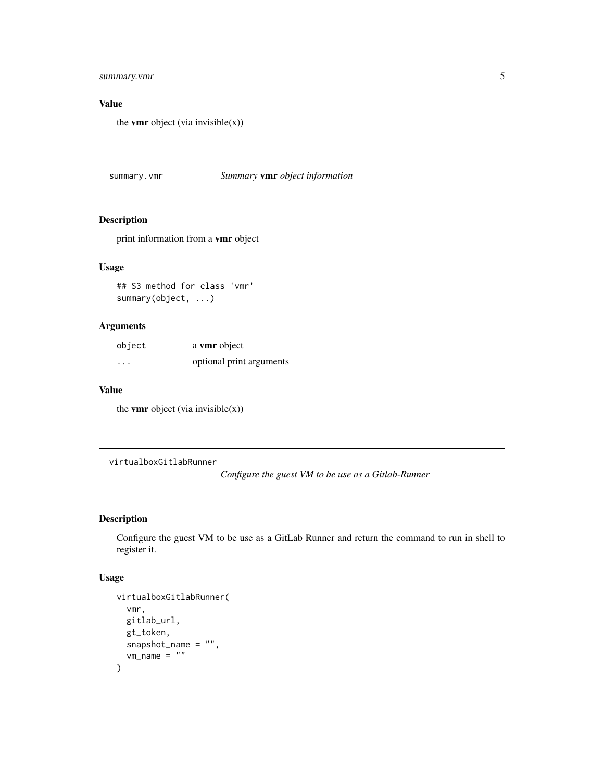#### <span id="page-4-0"></span>summary.vmr

#### Value

the **vmr** object (via invisible $(x)$ )

summary.vmr *Summary* vmr *object information*

#### Description

print information from a vmr object

#### Usage

## S3 method for class 'vmr' summary(object, ...)

#### Arguments

| object   | a vmr object             |
|----------|--------------------------|
| $\cdots$ | optional print arguments |

#### Value

the **vmr** object (via invisible $(x)$ )

virtualboxGitlabRunner

*Configure the guest VM to be use as a Gitlab-Runner*

#### Description

Configure the guest VM to be use as a GitLab Runner and return the command to run in shell to register it.

#### Usage

```
virtualboxGitlabRunner(
  vmr,
  gitlab_url,
  gt_token,
  snapshot_name = "",
  vm\_name = ""\mathcal{E}
```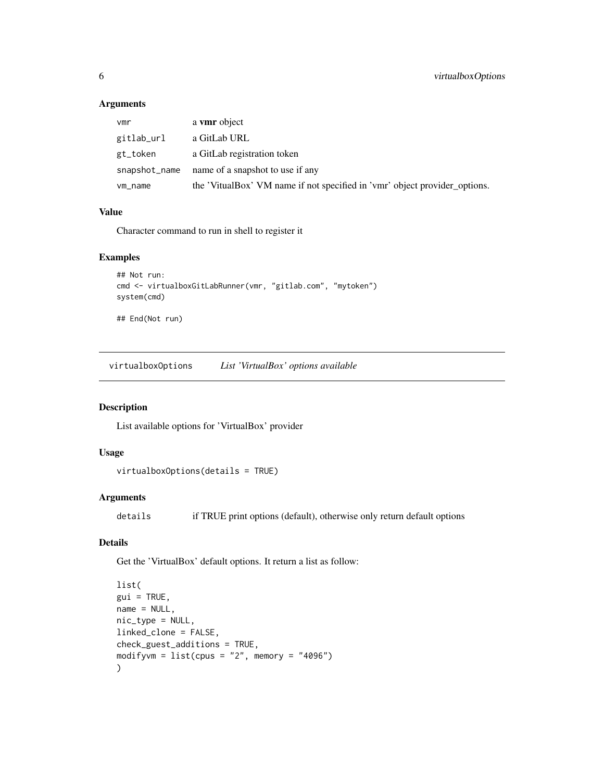#### Arguments

| vmr           | a vmr object                                                               |
|---------------|----------------------------------------------------------------------------|
| gitlab_url    | a GitLab URL                                                               |
| gt_token      | a GitLab registration token                                                |
| snapshot_name | name of a snapshot to use if any                                           |
| vm_name       | the 'VitualBox' VM name if not specified in 'vmr' object provider_options. |

#### Value

Character command to run in shell to register it

#### Examples

```
## Not run:
cmd <- virtualboxGitLabRunner(vmr, "gitlab.com", "mytoken")
system(cmd)
```
## End(Not run)

<span id="page-5-1"></span>virtualboxOptions *List 'VirtualBox' options available*

#### Description

List available options for 'VirtualBox' provider

#### Usage

```
virtualboxOptions(details = TRUE)
```
#### Arguments

details if TRUE print options (default), otherwise only return default options

## Details

Get the 'VirtualBox' default options. It return a list as follow:

```
list(
gui = TRUE,name = NULL,nic_type = NULL,
linked_clone = FALSE,
check_guest_additions = TRUE,
modifyvm = list(cpus = "2", memory = "4096")\mathcal{L}
```
<span id="page-5-0"></span>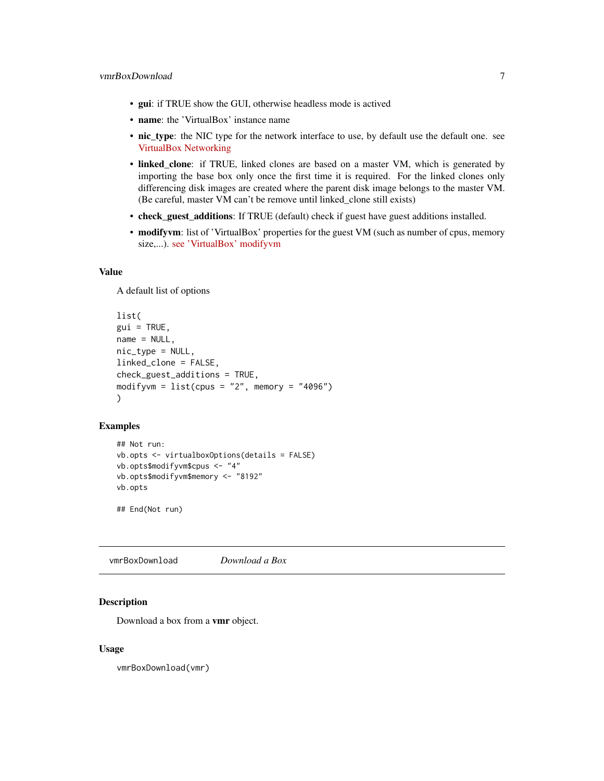- <span id="page-6-0"></span>• gui: if TRUE show the GUI, otherwise headless mode is actived
- name: the 'VirtualBox' instance name
- nic\_type: the NIC type for the network interface to use, by default use the default one. see [VirtualBox Networking](https://www.virtualbox.org/manual/ch06.html)
- linked\_clone: if TRUE, linked clones are based on a master VM, which is generated by importing the base box only once the first time it is required. For the linked clones only differencing disk images are created where the parent disk image belongs to the master VM. (Be careful, master VM can't be remove until linked\_clone still exists)
- check\_guest\_additions: If TRUE (default) check if guest have guest additions installed.
- modifyvm: list of 'VirtualBox' properties for the guest VM (such as number of cpus, memory size,...). [see 'VirtualBox' modifyvm](https://www.virtualbox.org/manual/ch08.html#vboxmanage-modifyvm)

#### Value

A default list of options

```
list(
gui = TRUE,name = NULL,nic_type = NULL,
linked_clone = FALSE,
check_guest_additions = TRUE,
modifyvm = list(cpus = "2", memory = "4096"))
```
#### Examples

```
## Not run:
vb.opts <- virtualboxOptions(details = FALSE)
vb.opts$modifyvm$cpus <- "4"
vb.opts$modifyvm$memory <- "8192"
vb.opts
```
## End(Not run)

vmrBoxDownload *Download a Box*

#### **Description**

Download a box from a vmr object.

#### Usage

vmrBoxDownload(vmr)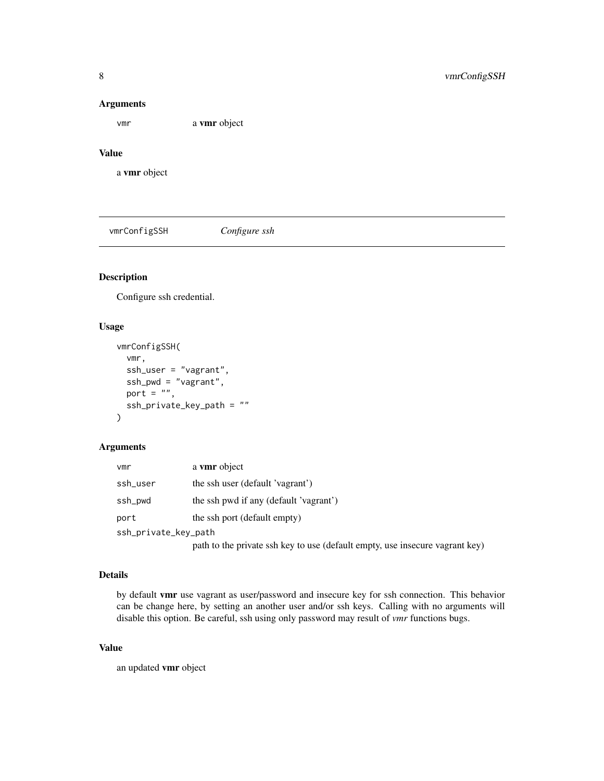#### Arguments

vmr a vmr object

#### Value

a vmr object

vmrConfigSSH *Configure ssh*

#### Description

Configure ssh credential.

#### Usage

```
vmrConfigSSH(
  vmr,
  ssh_user = "vagrant",
  ssh_pwd = "vagrant",
  port = ",
  ssh_private_key_path = ""
\mathcal{E}
```
#### Arguments

| vmr                  | a vmr object                                                                 |
|----------------------|------------------------------------------------------------------------------|
| ssh_user             | the ssh user (default 'vagrant')                                             |
| ssh_pwd              | the ssh pwd if any (default 'vagrant')                                       |
| port                 | the ssh port (default empty)                                                 |
| ssh_private_key_path |                                                                              |
|                      | path to the private ssh key to use (default empty, use insecure vagrant key) |

#### Details

by default vmr use vagrant as user/password and insecure key for ssh connection. This behavior can be change here, by setting an another user and/or ssh keys. Calling with no arguments will disable this option. Be careful, ssh using only password may result of *vmr* functions bugs.

#### Value

an updated vmr object

<span id="page-7-0"></span>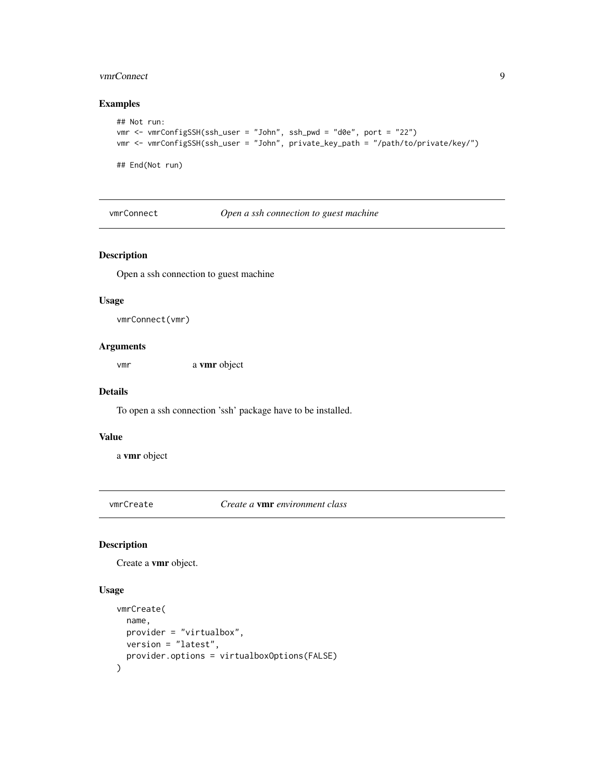#### <span id="page-8-0"></span>vmrConnect 9

#### Examples

```
## Not run:
vmr <- vmrConfigSSH(ssh_user = "John", ssh_pwd = "d0e", port = "22")
vmr <- vmrConfigSSH(ssh_user = "John", private_key_path = "/path/to/private/key/")
## End(Not run)
```
vmrConnect *Open a ssh connection to guest machine*

#### Description

Open a ssh connection to guest machine

#### Usage

vmrConnect(vmr)

#### Arguments

vmr a vmr object

#### Details

To open a ssh connection 'ssh' package have to be installed.

#### Value

a vmr object

<span id="page-8-1"></span>vmrCreate *Create a* vmr *environment class*

#### Description

Create a vmr object.

#### Usage

```
vmrCreate(
  name,
  provider = "virtualbox",
  version = "latest",
  provider.options = virtualboxOptions(FALSE)
\mathcal{E}
```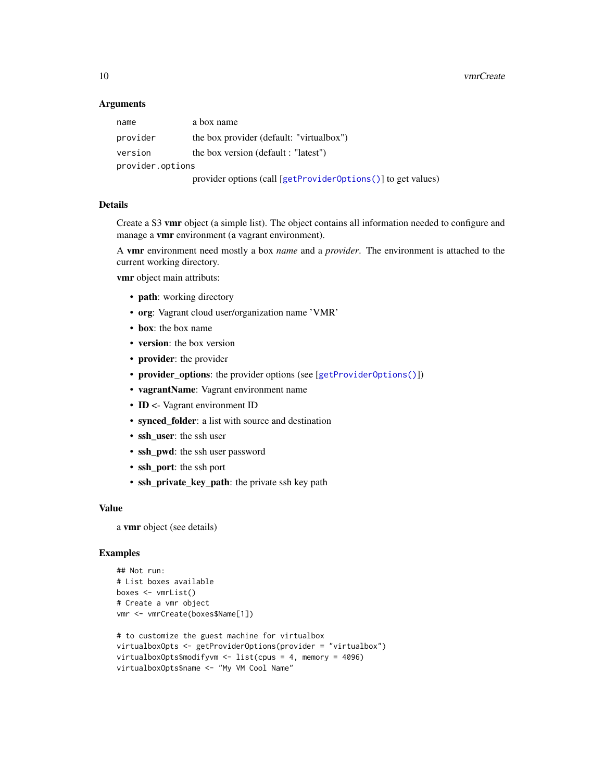#### <span id="page-9-0"></span>**Arguments**

| name             | a box name                                                   |  |
|------------------|--------------------------------------------------------------|--|
| provider         | the box provider (default: "virtualbox")                     |  |
| version          | the box version (default : "latest")                         |  |
| provider.options |                                                              |  |
|                  | provider options (call [getProviderOptions()] to get values) |  |

#### Details

Create a S3 vmr object (a simple list). The object contains all information needed to configure and manage a vmr environment (a vagrant environment).

A vmr environment need mostly a box *name* and a *provider*. The environment is attached to the current working directory.

vmr object main attributs:

- path: working directory
- org: Vagrant cloud user/organization name 'VMR'
- box: the box name
- version: the box version
- provider: the provider
- provider\_options: the provider options (see [[getProviderOptions\(\)](#page-3-1)])
- vagrantName: Vagrant environment name
- ID <- Vagrant environment ID
- synced\_folder: a list with source and destination
- ssh user: the ssh user
- ssh\_pwd: the ssh user password
- ssh\_port: the ssh port
- ssh\_private\_key\_path: the private ssh key path

#### Value

a vmr object (see details)

#### Examples

```
## Not run:
# List boxes available
boxes <- vmrList()
# Create a vmr object
vmr <- vmrCreate(boxes$Name[1])
# to customize the guest machine for virtualbox
virtualboxOpts <- getProviderOptions(provider = "virtualbox")
virtualboxOpts$modifyvm <- list(cpus = 4, memory = 4096)
virtualboxOpts$name <- "My VM Cool Name"
```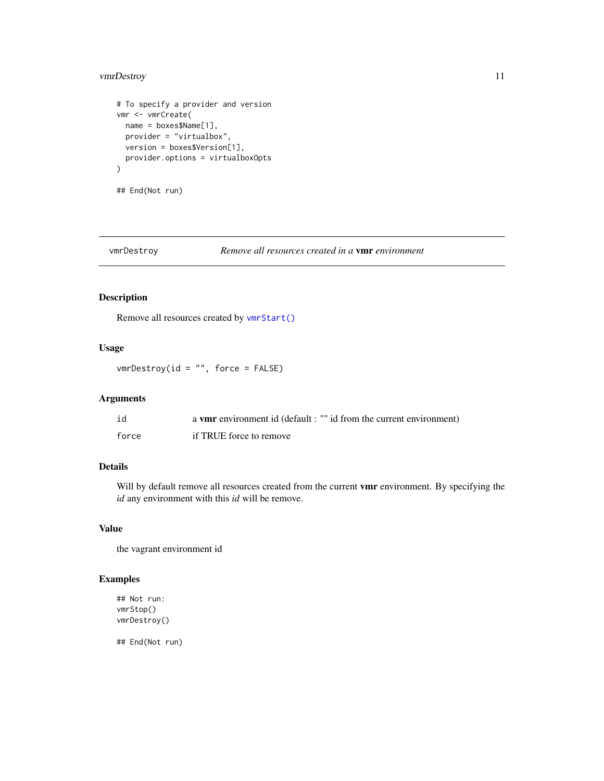#### <span id="page-10-0"></span>vmrDestroy 11

```
# To specify a provider and version
vmr <- vmrCreate(
 name = boxes$Name[1],
 provider = "virtualbox",
  version = boxes$Version[1],
  provider.options = virtualboxOpts
\mathcal{L}
```
## End(Not run)

vmrDestroy *Remove all resources created in a* vmr *environment*

#### Description

Remove all resources created by [vmrStart\(\)](#page-24-1)

#### Usage

vmrDestroy(id = "", force = FALSE)

#### Arguments

| id    | a vmr environment id (default : "" id from the current environment) |
|-------|---------------------------------------------------------------------|
| force | if TRUE force to remove                                             |

#### Details

Will by default remove all resources created from the current vmr environment. By specifying the *id* any environment with this *id* will be remove.

#### Value

the vagrant environment id

#### Examples

```
## Not run:
vmrStop()
vmrDestroy()
```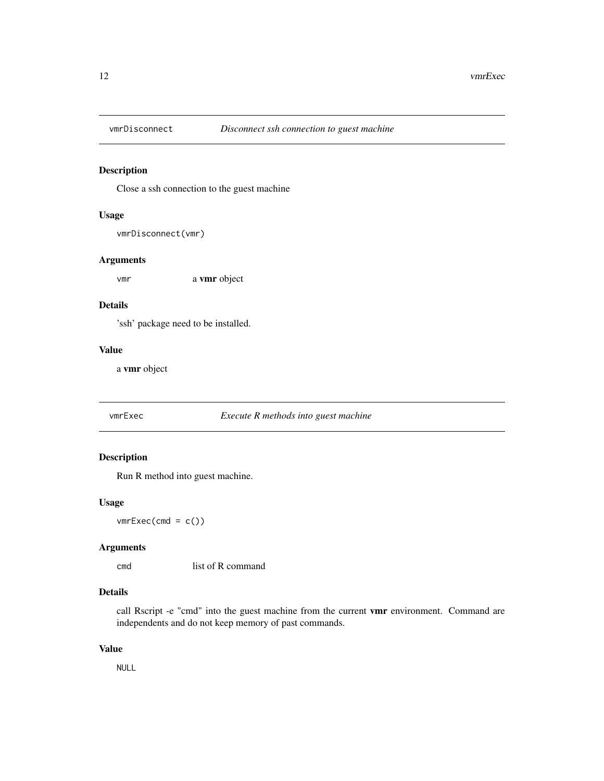<span id="page-11-0"></span>

#### Description

Close a ssh connection to the guest machine

#### Usage

```
vmrDisconnect(vmr)
```
#### Arguments

vmr a vmr object

#### Details

'ssh' package need to be installed.

#### Value

a vmr object

#### vmrExec *Execute R methods into guest machine*

#### Description

Run R method into guest machine.

#### Usage

 $vmrExec(cmd = c())$ 

#### Arguments

cmd list of R command

#### Details

call Rscript -e "cmd" into the guest machine from the current vmr environment. Command are independents and do not keep memory of past commands.

#### Value

NULL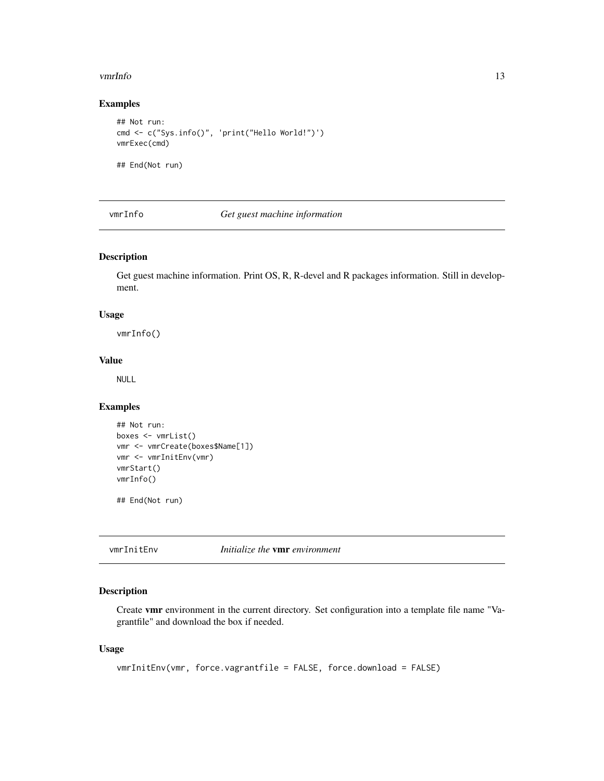#### <span id="page-12-0"></span>vmrInfo 13

#### Examples

```
## Not run:
cmd <- c("Sys.info()", 'print("Hello World!")')
vmrExec(cmd)
```
## End(Not run)

vmrInfo *Get guest machine information*

#### Description

Get guest machine information. Print OS, R, R-devel and R packages information. Still in development.

#### Usage

vmrInfo()

#### Value

NULL

#### Examples

```
## Not run:
boxes <- vmrList()
vmr <- vmrCreate(boxes$Name[1])
vmr <- vmrInitEnv(vmr)
vmrStart()
vmrInfo()
```
## End(Not run)

```
vmrInitEnv Initialize the vmr environment
```
#### Description

Create vmr environment in the current directory. Set configuration into a template file name "Vagrantfile" and download the box if needed.

#### Usage

```
vmrInitEnv(vmr, force.vagrantfile = FALSE, force.download = FALSE)
```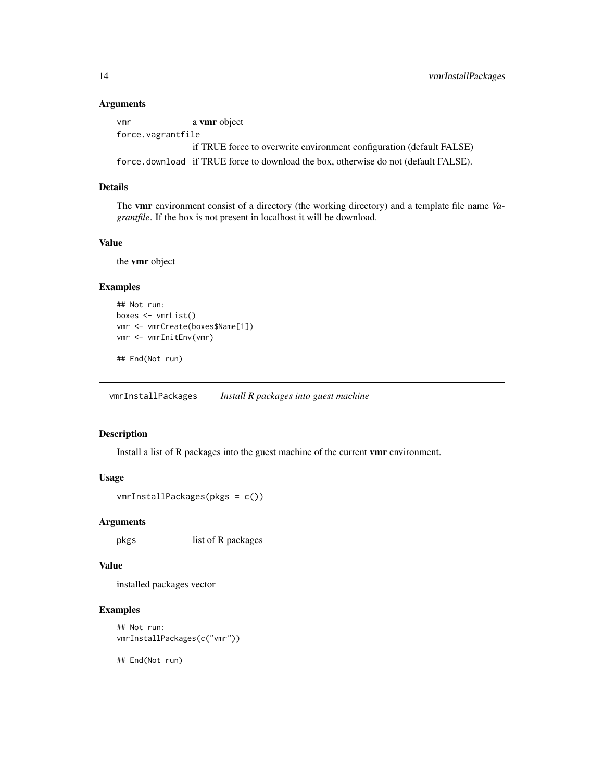#### <span id="page-13-0"></span>Arguments

vmr a vmr object force.vagrantfile if TRUE force to overwrite environment configuration (default FALSE)

force.download if TRUE force to download the box, otherwise do not (default FALSE).

#### Details

The vmr environment consist of a directory (the working directory) and a template file name *Vagrantfile*. If the box is not present in localhost it will be download.

#### Value

the vmr object

#### Examples

```
## Not run:
boxes <- vmrList()
vmr <- vmrCreate(boxes$Name[1])
vmr <- vmrInitEnv(vmr)
```
## End(Not run)

vmrInstallPackages *Install R packages into guest machine*

#### Description

Install a list of R packages into the guest machine of the current vmr environment.

#### Usage

```
vmrInstallPackages(pkgs = c())
```
#### Arguments

pkgs list of R packages

#### Value

installed packages vector

#### Examples

```
## Not run:
vmrInstallPackages(c("vmr"))
```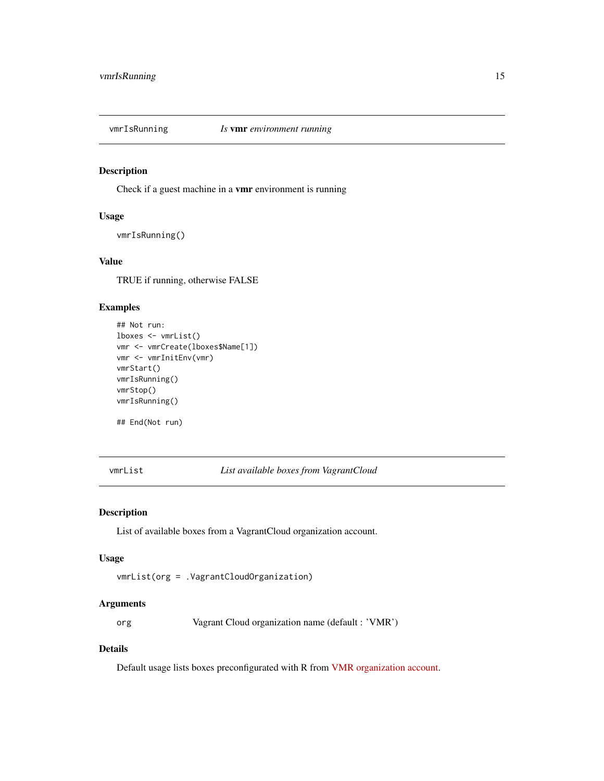<span id="page-14-0"></span>

#### Description

Check if a guest machine in a vmr environment is running

#### Usage

vmrIsRunning()

#### Value

TRUE if running, otherwise FALSE

#### Examples

```
## Not run:
lboxes <- vmrList()
vmr <- vmrCreate(lboxes$Name[1])
vmr <- vmrInitEnv(vmr)
vmrStart()
vmrIsRunning()
vmrStop()
vmrIsRunning()
## End(Not run)
```
vmrList *List available boxes from VagrantCloud*

#### Description

List of available boxes from a VagrantCloud organization account.

#### Usage

```
vmrList(org = .VagrantCloudOrganization)
```
#### Arguments

org Vagrant Cloud organization name (default : 'VMR')

#### Details

Default usage lists boxes preconfigurated with R from [VMR organization account.](https://app.vagrantup.com/VMR)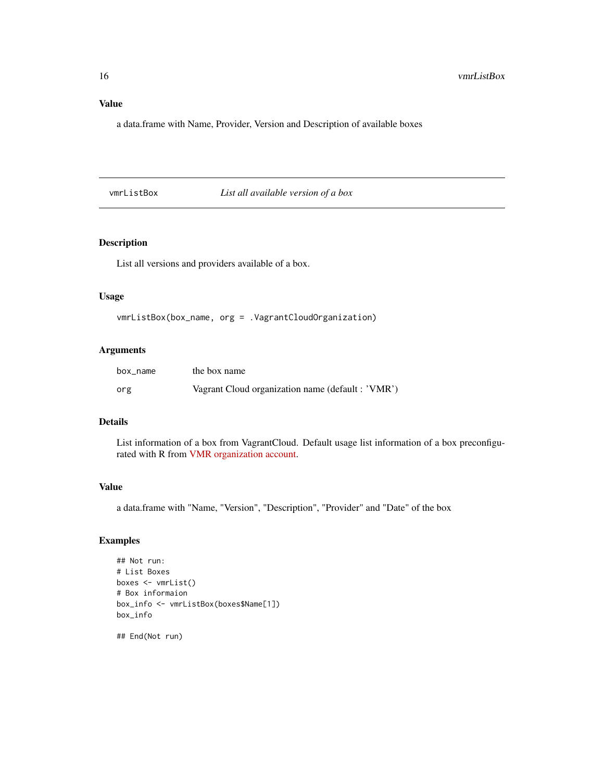a data.frame with Name, Provider, Version and Description of available boxes

vmrListBox *List all available version of a box*

#### Description

List all versions and providers available of a box.

#### Usage

vmrListBox(box\_name, org = .VagrantCloudOrganization)

#### Arguments

| box_name | the box name                                      |
|----------|---------------------------------------------------|
| org      | Vagrant Cloud organization name (default : 'VMR') |

#### Details

List information of a box from VagrantCloud. Default usage list information of a box preconfigurated with R from [VMR organization account.](https://app.vagrantup.com/VMR)

#### Value

a data.frame with "Name, "Version", "Description", "Provider" and "Date" of the box

#### Examples

```
## Not run:
# List Boxes
boxes <- vmrList()
# Box informaion
box_info <- vmrListBox(boxes$Name[1])
box_info
```
<span id="page-15-0"></span>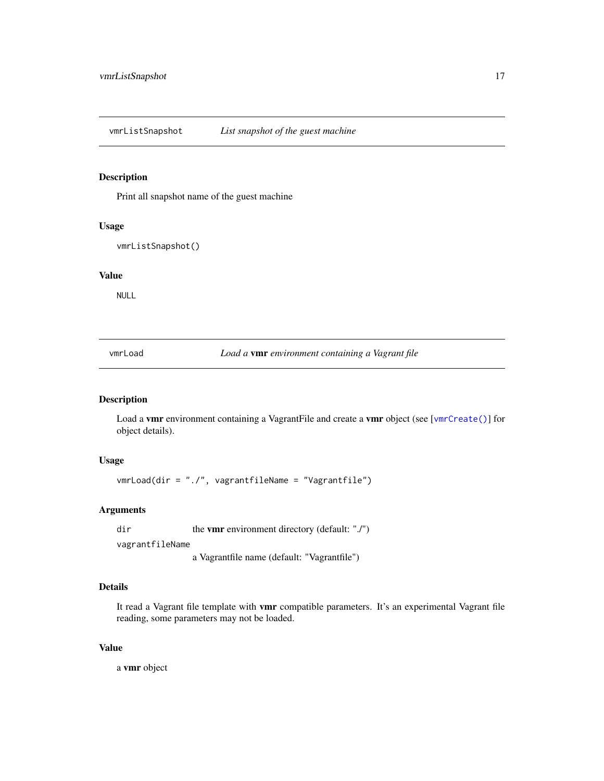<span id="page-16-0"></span>vmrListSnapshot *List snapshot of the guest machine*

#### Description

Print all snapshot name of the guest machine

#### Usage

vmrListSnapshot()

#### Value

NULL

vmrLoad *Load a* vmr *environment containing a Vagrant file*

#### Description

Load a vmr environment containing a VagrantFile and create a vmr object (see [[vmrCreate\(\)](#page-8-1)] for object details).

#### Usage

vmrLoad(dir = "./", vagrantfileName = "Vagrantfile")

#### Arguments

dir the **vmr** environment directory (default: "./") vagrantfileName a Vagrantfile name (default: "Vagrantfile")

#### Details

It read a Vagrant file template with vmr compatible parameters. It's an experimental Vagrant file reading, some parameters may not be loaded.

#### Value

a vmr object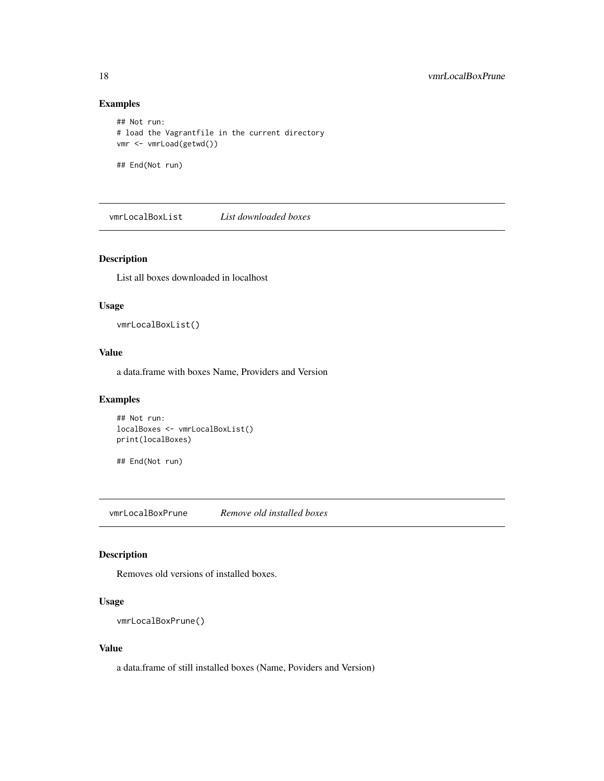#### Examples

```
## Not run:
# load the Vagrantfile in the current directory
vmr <- vmrLoad(getwd())
## End(Not run)
```
vmrLocalBoxList *List downloaded boxes*

#### Description

List all boxes downloaded in localhost

#### Usage

vmrLocalBoxList()

#### Value

a data.frame with boxes Name, Providers and Version

#### Examples

```
## Not run:
localBoxes <- vmrLocalBoxList()
print(localBoxes)
```
## End(Not run)

vmrLocalBoxPrune *Remove old installed boxes*

#### Description

Removes old versions of installed boxes.

#### Usage

```
vmrLocalBoxPrune()
```
#### Value

a data.frame of still installed boxes (Name, Poviders and Version)

<span id="page-17-0"></span>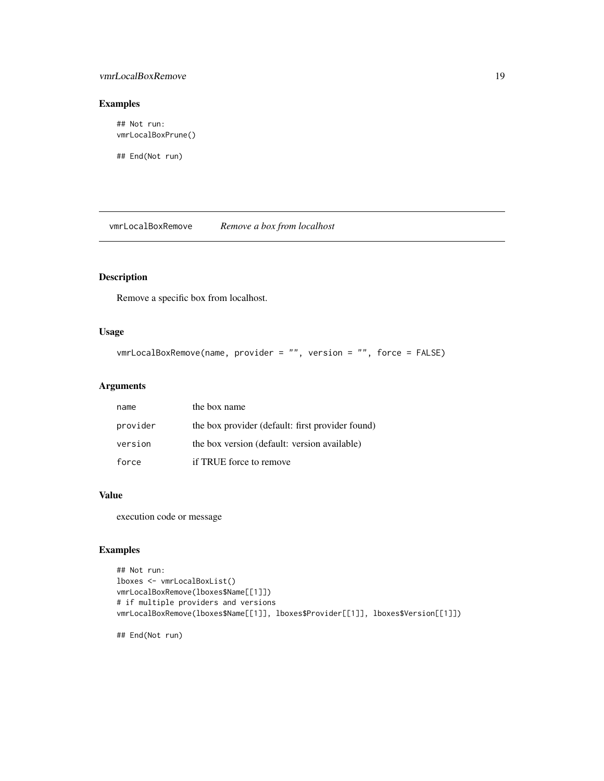#### <span id="page-18-0"></span>vmrLocalBoxRemove 19

#### Examples

## Not run: vmrLocalBoxPrune()

## End(Not run)

vmrLocalBoxRemove *Remove a box from localhost*

## Description

Remove a specific box from localhost.

#### Usage

```
vmrLocalBoxRemove(name, provider = "", version = "", force = FALSE)
```
#### Arguments

| name     | the box name                                     |
|----------|--------------------------------------------------|
| provider | the box provider (default: first provider found) |
| version  | the box version (default: version available)     |
| force    | if TRUE force to remove                          |

#### Value

execution code or message

#### Examples

```
## Not run:
lboxes <- vmrLocalBoxList()
vmrLocalBoxRemove(lboxes$Name[[1]])
# if multiple providers and versions
vmrLocalBoxRemove(lboxes$Name[[1]], lboxes$Provider[[1]], lboxes$Version[[1]])
```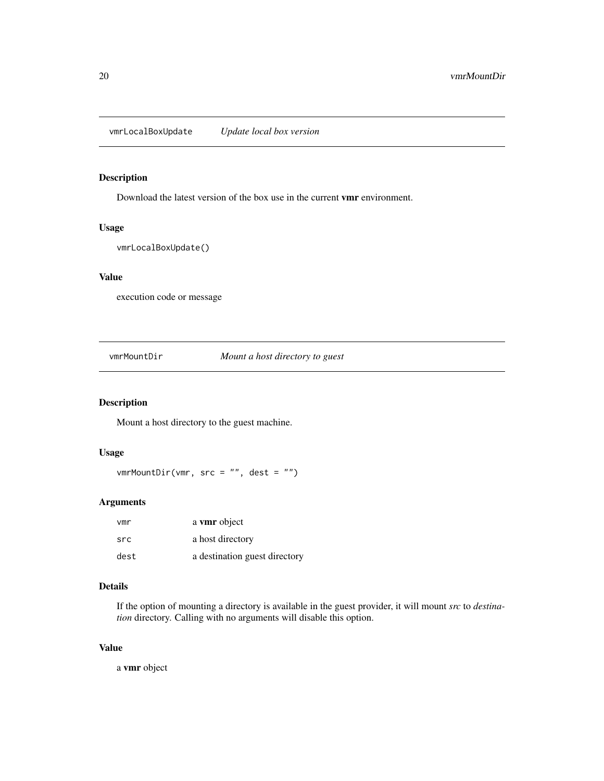<span id="page-19-0"></span>vmrLocalBoxUpdate *Update local box version*

#### Description

Download the latest version of the box use in the current vmr environment.

#### Usage

vmrLocalBoxUpdate()

#### Value

execution code or message

vmrMountDir *Mount a host directory to guest*

#### Description

Mount a host directory to the guest machine.

#### Usage

 $vmrMountDir(vmr, src = "", dest = "")$ 

#### Arguments

| vmr  | a vmr object                  |
|------|-------------------------------|
| src  | a host directory              |
| dest | a destination guest directory |

#### Details

If the option of mounting a directory is available in the guest provider, it will mount *src* to *destination* directory. Calling with no arguments will disable this option.

#### Value

a vmr object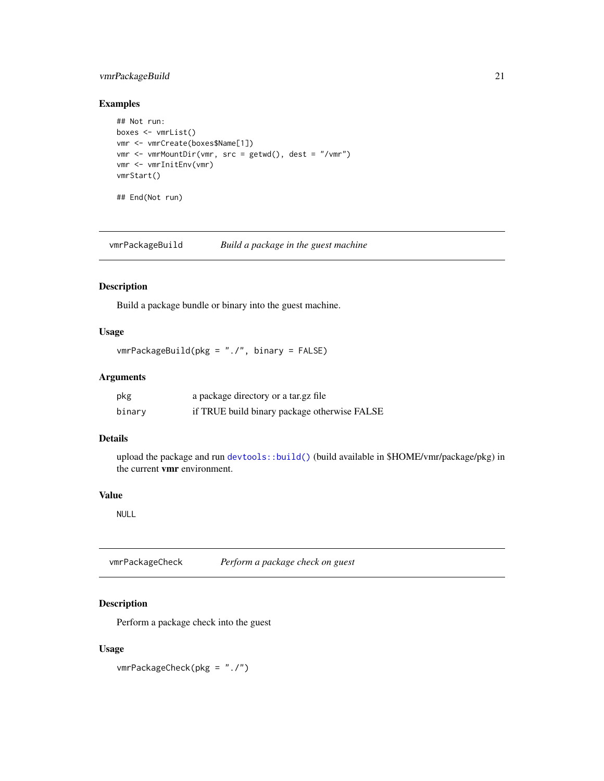#### <span id="page-20-0"></span>vmrPackageBuild 21

#### Examples

```
## Not run:
boxes <- vmrList()
vmr <- vmrCreate(boxes$Name[1])
vmr <- vmrMountDir(vmr, src = getwd(), dest = "/vmr")
vmr <- vmrInitEnv(vmr)
vmrStart()
## End(Not run)
```
vmrPackageBuild *Build a package in the guest machine*

#### Description

Build a package bundle or binary into the guest machine.

#### Usage

```
vmrPackageBuild(pkg = "./", binary = FALSE)
```
#### Arguments

| pkg    | a package directory or a tar.gz file         |
|--------|----------------------------------------------|
| binary | if TRUE build binary package otherwise FALSE |

#### Details

upload the package and run [devtools::build\(\)](#page-0-0) (build available in \$HOME/vmr/package/pkg) in the current vmr environment.

#### Value

NULL

vmrPackageCheck *Perform a package check on guest*

#### Description

Perform a package check into the guest

#### Usage

vmrPackageCheck(pkg = "./")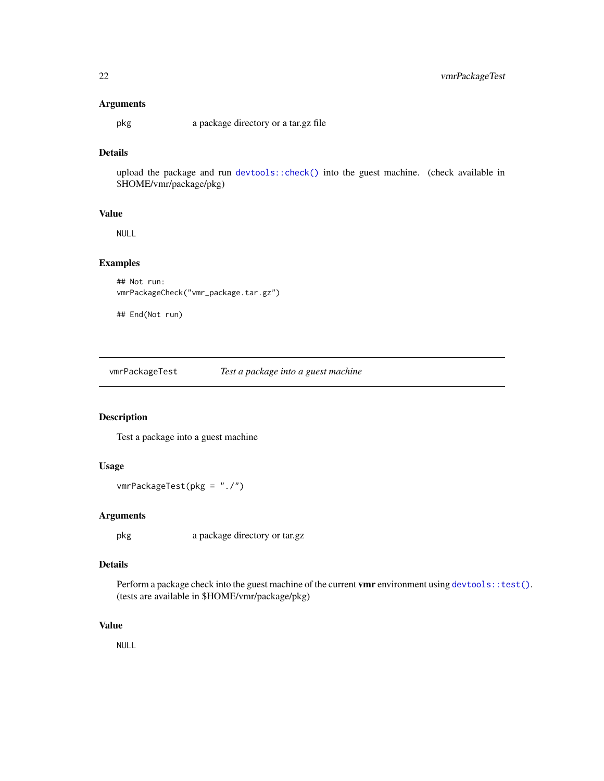#### <span id="page-21-0"></span>Arguments

pkg a package directory or a tar.gz file

### Details

upload the package and run [devtools::check\(\)](#page-0-0) into the guest machine. (check available in \$HOME/vmr/package/pkg)

#### Value

NULL

#### Examples

```
## Not run:
vmrPackageCheck("vmr_package.tar.gz")
```
## End(Not run)

vmrPackageTest *Test a package into a guest machine*

#### Description

Test a package into a guest machine

#### Usage

```
vmrPackageTest(pkg = "./")
```
#### Arguments

pkg a package directory or tar.gz

#### Details

Perform a package check into the guest machine of the current vmr environment using [devtools::test\(\)](#page-0-0). (tests are available in \$HOME/vmr/package/pkg)

#### Value

NULL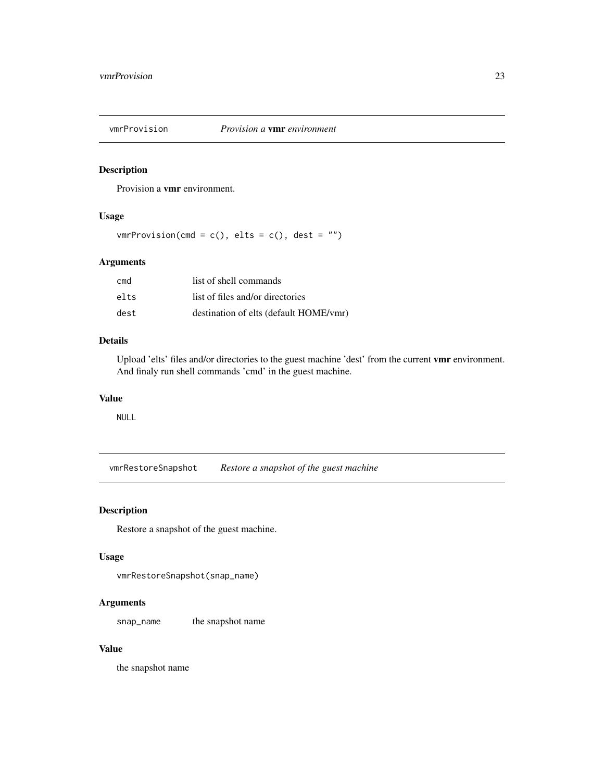<span id="page-22-0"></span>

#### Description

Provision a vmr environment.

#### Usage

 $vmrProvision(cmd = c(), elts = c(), dest = "")$ 

#### Arguments

| cmd  | list of shell commands                 |
|------|----------------------------------------|
| elts | list of files and/or directories       |
| dest | destination of elts (default HOME/vmr) |

#### Details

Upload 'elts' files and/or directories to the guest machine 'dest' from the current vmr environment. And finaly run shell commands 'cmd' in the guest machine.

#### Value

NULL

vmrRestoreSnapshot *Restore a snapshot of the guest machine*

#### Description

Restore a snapshot of the guest machine.

#### Usage

vmrRestoreSnapshot(snap\_name)

#### Arguments

snap\_name the snapshot name

#### Value

the snapshot name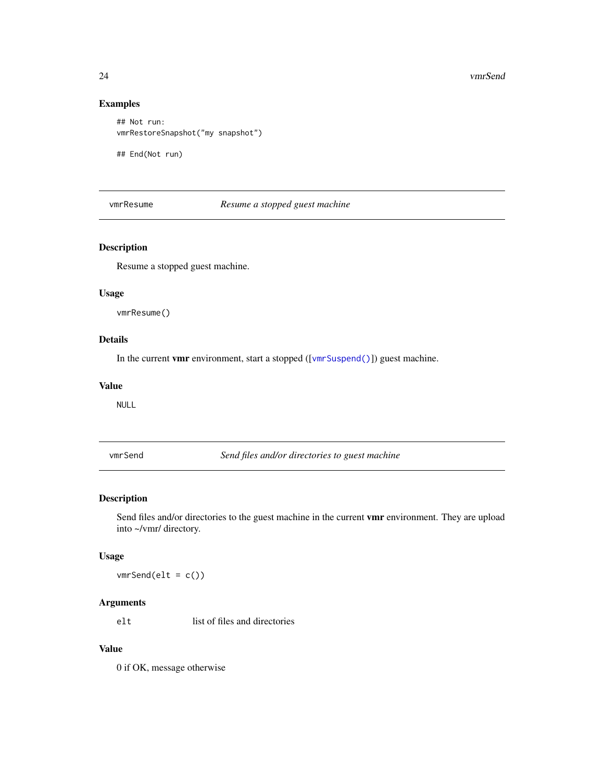#### <span id="page-23-0"></span>Examples

```
## Not run:
vmrRestoreSnapshot("my snapshot")
```
## End(Not run)

vmrResume *Resume a stopped guest machine*

#### Description

Resume a stopped guest machine.

#### Usage

vmrResume()

#### Details

In the current **vmr** environment, start a stopped ([[vmrSuspend\(\)](#page-26-1)]) guest machine.

#### Value

NULL

vmrSend *Send files and/or directories to guest machine*

#### Description

Send files and/or directories to the guest machine in the current vmr environment. They are upload into ~/vmr/ directory.

#### Usage

 $vmrSend(elt = c())$ 

### Arguments

elt list of files and directories

#### Value

0 if OK, message otherwise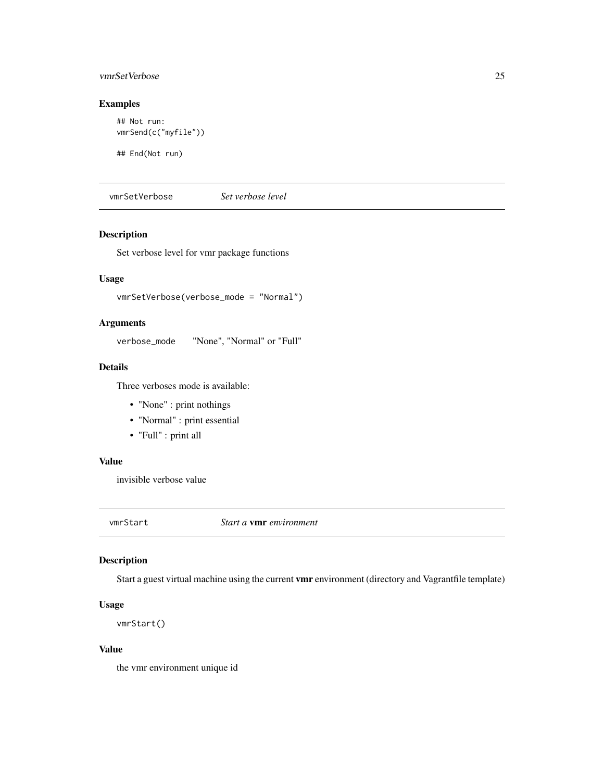#### <span id="page-24-0"></span>vmrSetVerbose 25

#### Examples

```
## Not run:
vmrSend(c("myfile"))
```
## End(Not run)

vmrSetVerbose *Set verbose level*

#### Description

Set verbose level for vmr package functions

#### Usage

vmrSetVerbose(verbose\_mode = "Normal")

#### Arguments

verbose\_mode "None", "Normal" or "Full"

#### Details

Three verboses mode is available:

- "None" : print nothings
- "Normal" : print essential
- "Full" : print all

#### Value

invisible verbose value

<span id="page-24-1"></span>vmrStart *Start a* vmr *environment*

#### Description

Start a guest virtual machine using the current vmr environment (directory and Vagrantfile template)

#### Usage

vmrStart()

#### Value

the vmr environment unique id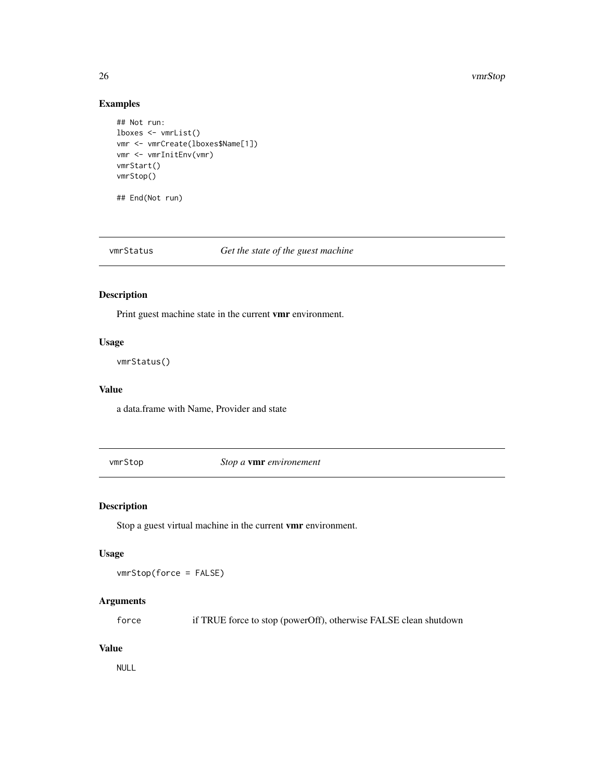#### <span id="page-25-0"></span>26 vmrStop

#### Examples

```
## Not run:
lboxes <- vmrList()
vmr <- vmrCreate(lboxes$Name[1])
vmr <- vmrInitEnv(vmr)
vmrStart()
vmrStop()
## End(Not run)
```
vmrStatus *Get the state of the guest machine*

#### Description

Print guest machine state in the current vmr environment.

#### Usage

vmrStatus()

#### Value

a data.frame with Name, Provider and state

vmrStop *Stop a* vmr *environement*

#### Description

Stop a guest virtual machine in the current vmr environment.

#### Usage

vmrStop(force = FALSE)

#### Arguments

force if TRUE force to stop (powerOff), otherwise FALSE clean shutdown

#### Value

NULL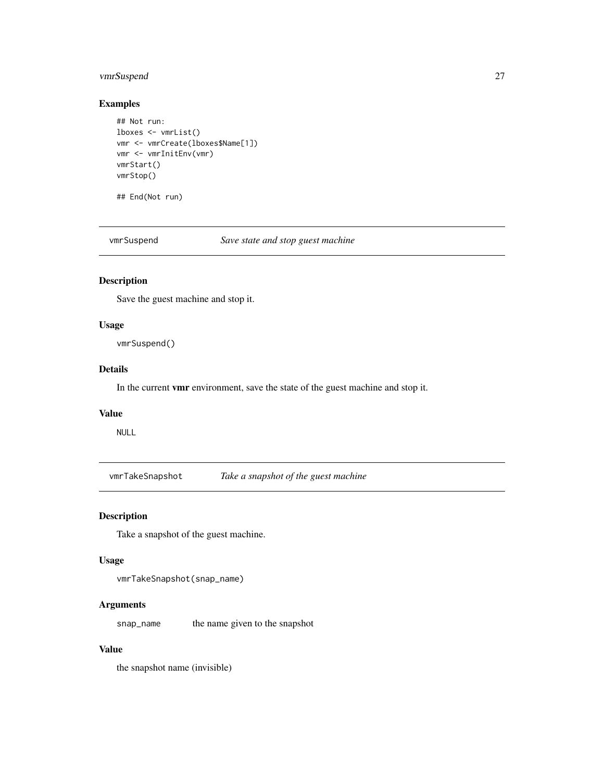#### <span id="page-26-0"></span>vmrSuspend 27

#### Examples

```
## Not run:
lboxes <- vmrList()
vmr <- vmrCreate(lboxes$Name[1])
vmr <- vmrInitEnv(vmr)
vmrStart()
vmrStop()
```
## End(Not run)

<span id="page-26-1"></span>vmrSuspend *Save state and stop guest machine*

#### Description

Save the guest machine and stop it.

#### Usage

vmrSuspend()

#### Details

In the current vmr environment, save the state of the guest machine and stop it.

#### Value

NULL

vmrTakeSnapshot *Take a snapshot of the guest machine*

#### Description

Take a snapshot of the guest machine.

#### Usage

```
vmrTakeSnapshot(snap_name)
```
#### Arguments

snap\_name the name given to the snapshot

#### Value

the snapshot name (invisible)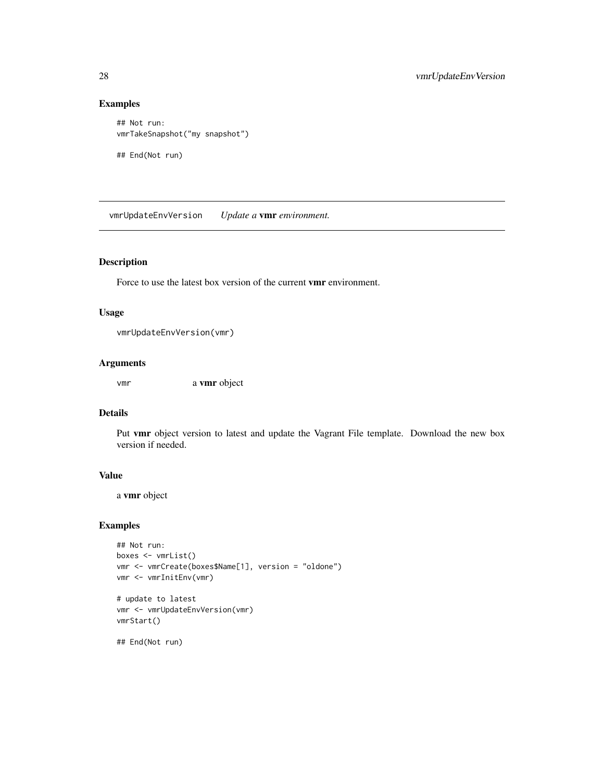#### Examples

```
## Not run:
vmrTakeSnapshot("my snapshot")
## End(Not run)
```
vmrUpdateEnvVersion *Update a* vmr *environment.*

#### Description

Force to use the latest box version of the current vmr environment.

#### Usage

```
vmrUpdateEnvVersion(vmr)
```
#### Arguments

vmr a vmr object

#### Details

Put vmr object version to latest and update the Vagrant File template. Download the new box version if needed.

#### Value

a vmr object

#### Examples

```
## Not run:
boxes <- vmrList()
vmr <- vmrCreate(boxes$Name[1], version = "oldone")
vmr <- vmrInitEnv(vmr)
# update to latest
```
vmr <- vmrUpdateEnvVersion(vmr) vmrStart()

<span id="page-27-0"></span>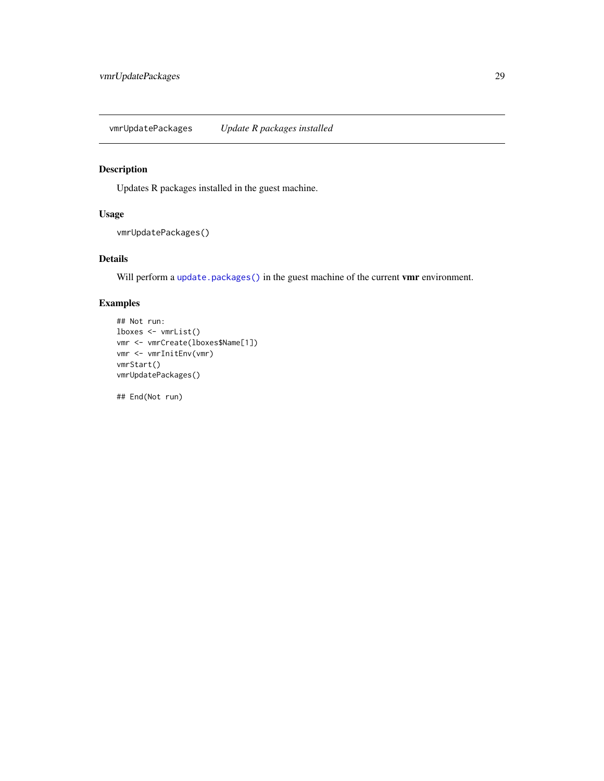<span id="page-28-0"></span>vmrUpdatePackages *Update R packages installed*

#### Description

Updates R packages installed in the guest machine.

#### Usage

```
vmrUpdatePackages()
```
#### Details

Will perform a [update.packages\(\)](#page-0-0) in the guest machine of the current vmr environment.

#### Examples

```
## Not run:
lboxes <- vmrList()
vmr <- vmrCreate(lboxes$Name[1])
vmr <- vmrInitEnv(vmr)
vmrStart()
vmrUpdatePackages()
```